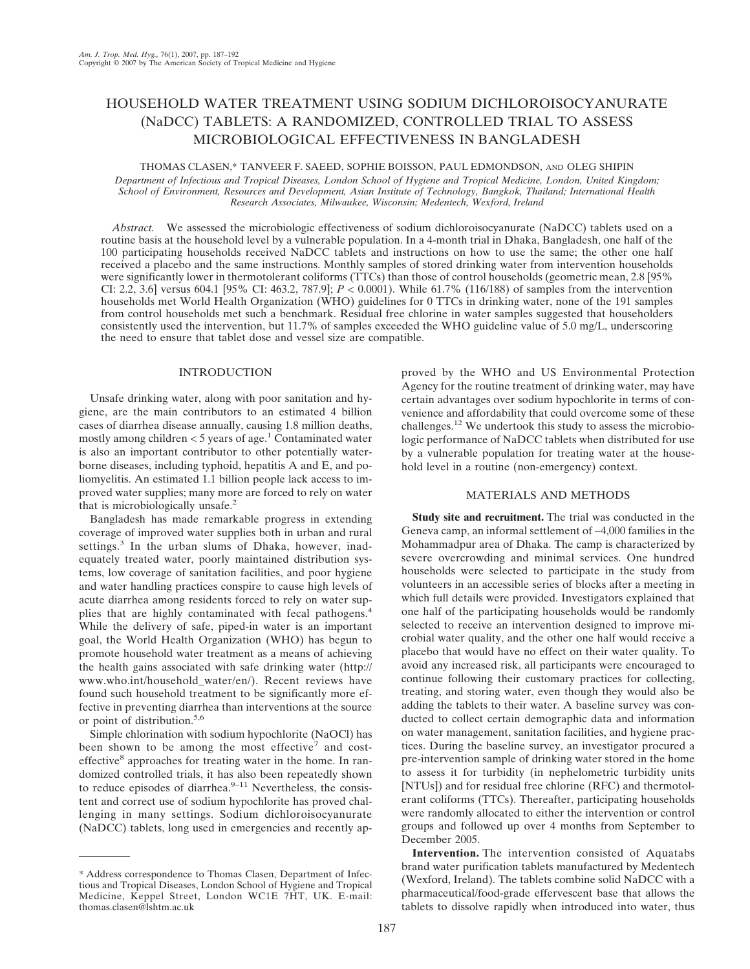# HOUSEHOLD WATER TREATMENT USING SODIUM DICHLOROISOCYANURATE (NaDCC) TABLETS: A RANDOMIZED, CONTROLLED TRIAL TO ASSESS MICROBIOLOGICAL EFFECTIVENESS IN BANGLADESH

## THOMAS CLASEN,\* TANVEER F. SAEED, SOPHIE BOISSON, PAUL EDMONDSON, AND OLEG SHIPIN

*Department of Infectious and Tropical Diseases, London School of Hygiene and Tropical Medicine, London, United Kingdom; School of Environment, Resources and Development, Asian Institute of Technology, Bangkok, Thailand; International Health Research Associates, Milwaukee, Wisconsin; Medentech, Wexford, Ireland*

*Abstract.* We assessed the microbiologic effectiveness of sodium dichloroisocyanurate (NaDCC) tablets used on a routine basis at the household level by a vulnerable population. In a 4-month trial in Dhaka, Bangladesh, one half of the 100 participating households received NaDCC tablets and instructions on how to use the same; the other one half received a placebo and the same instructions. Monthly samples of stored drinking water from intervention households were significantly lower in thermotolerant coliforms (TTCs) than those of control households (geometric mean, 2.8 [95% CI: 2.2, 3.6] versus 604.1 [95% CI: 463.2, 787.9]; *P* < 0.0001). While 61.7% (116/188) of samples from the intervention households met World Health Organization (WHO) guidelines for 0 TTCs in drinking water, none of the 191 samples from control households met such a benchmark. Residual free chlorine in water samples suggested that householders consistently used the intervention, but 11.7% of samples exceeded the WHO guideline value of 5.0 mg/L, underscoring the need to ensure that tablet dose and vessel size are compatible.

### INTRODUCTION

Unsafe drinking water, along with poor sanitation and hygiene, are the main contributors to an estimated 4 billion cases of diarrhea disease annually, causing 1.8 million deaths, mostly among children  $<$  5 years of age.<sup>1</sup> Contaminated water is also an important contributor to other potentially waterborne diseases, including typhoid, hepatitis A and E, and poliomyelitis. An estimated 1.1 billion people lack access to improved water supplies; many more are forced to rely on water that is microbiologically unsafe.<sup>2</sup>

Bangladesh has made remarkable progress in extending coverage of improved water supplies both in urban and rural settings.<sup>3</sup> In the urban slums of Dhaka, however, inadequately treated water, poorly maintained distribution systems, low coverage of sanitation facilities, and poor hygiene and water handling practices conspire to cause high levels of acute diarrhea among residents forced to rely on water supplies that are highly contaminated with fecal pathogens.<sup>4</sup> While the delivery of safe, piped-in water is an important goal, the World Health Organization (WHO) has begun to promote household water treatment as a means of achieving the health gains associated with safe drinking water (http:// www.who.int/household\_water/en/). Recent reviews have found such household treatment to be significantly more effective in preventing diarrhea than interventions at the source or point of distribution.5,6

Simple chlorination with sodium hypochlorite (NaOCl) has been shown to be among the most effective<sup>7</sup> and costeffective<sup>8</sup> approaches for treating water in the home. In randomized controlled trials, it has also been repeatedly shown to reduce episodes of diarrhea. $9-11$  Nevertheless, the consistent and correct use of sodium hypochlorite has proved challenging in many settings. Sodium dichloroisocyanurate (NaDCC) tablets, long used in emergencies and recently ap-

proved by the WHO and US Environmental Protection Agency for the routine treatment of drinking water, may have certain advantages over sodium hypochlorite in terms of convenience and affordability that could overcome some of these challenges.12 We undertook this study to assess the microbiologic performance of NaDCC tablets when distributed for use by a vulnerable population for treating water at the household level in a routine (non-emergency) context.

## MATERIALS AND METHODS

**Study site and recruitment.** The trial was conducted in the Geneva camp, an informal settlement of ∼4,000 families in the Mohammadpur area of Dhaka. The camp is characterized by severe overcrowding and minimal services. One hundred households were selected to participate in the study from volunteers in an accessible series of blocks after a meeting in which full details were provided. Investigators explained that one half of the participating households would be randomly selected to receive an intervention designed to improve microbial water quality, and the other one half would receive a placebo that would have no effect on their water quality. To avoid any increased risk, all participants were encouraged to continue following their customary practices for collecting, treating, and storing water, even though they would also be adding the tablets to their water. A baseline survey was conducted to collect certain demographic data and information on water management, sanitation facilities, and hygiene practices. During the baseline survey, an investigator procured a pre-intervention sample of drinking water stored in the home to assess it for turbidity (in nephelometric turbidity units [NTUs]) and for residual free chlorine (RFC) and thermotolerant coliforms (TTCs). Thereafter, participating households were randomly allocated to either the intervention or control groups and followed up over 4 months from September to December 2005.

**Intervention.** The intervention consisted of Aquatabs brand water purification tablets manufactured by Medentech (Wexford, Ireland). The tablets combine solid NaDCC with a pharmaceutical/food-grade effervescent base that allows the tablets to dissolve rapidly when introduced into water, thus

<sup>\*</sup> Address correspondence to Thomas Clasen, Department of Infectious and Tropical Diseases, London School of Hygiene and Tropical Medicine, Keppel Street, London WC1E 7HT, UK. E-mail: thomas.clasen@lshtm.ac.uk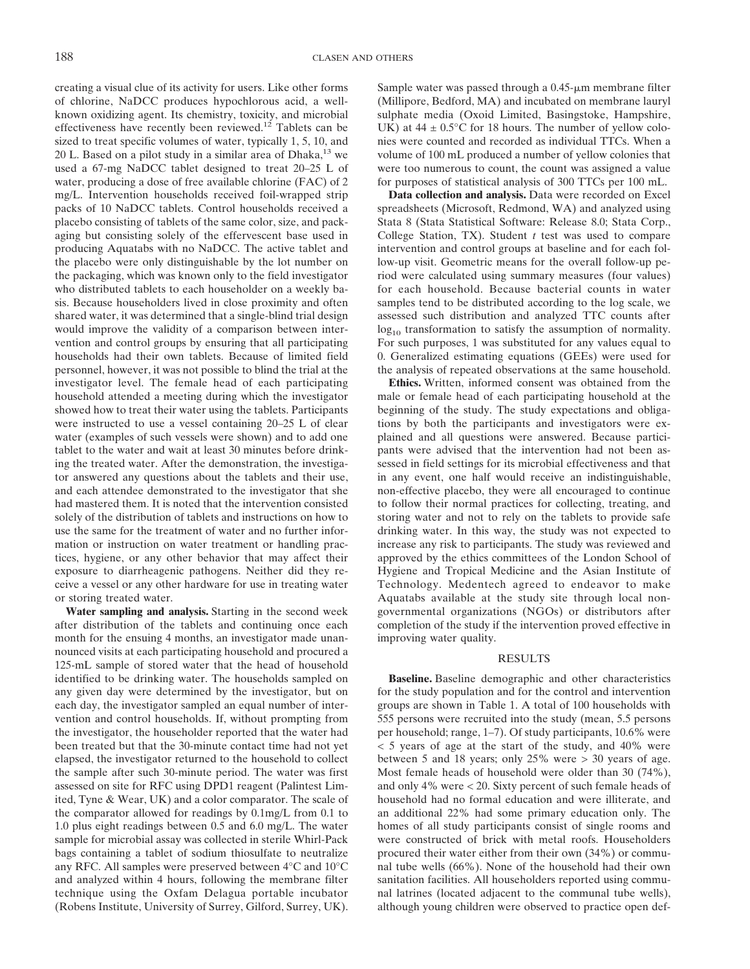creating a visual clue of its activity for users. Like other forms of chlorine, NaDCC produces hypochlorous acid, a wellknown oxidizing agent. Its chemistry, toxicity, and microbial effectiveness have recently been reviewed.<sup>12</sup> Tablets can be sized to treat specific volumes of water, typically 1, 5, 10, and 20 L. Based on a pilot study in a similar area of Dhaka, $^{13}$  we used a 67-mg NaDCC tablet designed to treat 20–25 L of water, producing a dose of free available chlorine (FAC) of 2 mg/L. Intervention households received foil-wrapped strip packs of 10 NaDCC tablets. Control households received a placebo consisting of tablets of the same color, size, and packaging but consisting solely of the effervescent base used in producing Aquatabs with no NaDCC. The active tablet and the placebo were only distinguishable by the lot number on the packaging, which was known only to the field investigator who distributed tablets to each householder on a weekly basis. Because householders lived in close proximity and often shared water, it was determined that a single-blind trial design would improve the validity of a comparison between intervention and control groups by ensuring that all participating households had their own tablets. Because of limited field personnel, however, it was not possible to blind the trial at the investigator level. The female head of each participating household attended a meeting during which the investigator showed how to treat their water using the tablets. Participants were instructed to use a vessel containing 20–25 L of clear water (examples of such vessels were shown) and to add one tablet to the water and wait at least 30 minutes before drinking the treated water. After the demonstration, the investigator answered any questions about the tablets and their use, and each attendee demonstrated to the investigator that she had mastered them. It is noted that the intervention consisted solely of the distribution of tablets and instructions on how to use the same for the treatment of water and no further information or instruction on water treatment or handling practices, hygiene, or any other behavior that may affect their exposure to diarrheagenic pathogens. Neither did they receive a vessel or any other hardware for use in treating water or storing treated water.

**Water sampling and analysis.** Starting in the second week after distribution of the tablets and continuing once each month for the ensuing 4 months, an investigator made unannounced visits at each participating household and procured a 125-mL sample of stored water that the head of household identified to be drinking water. The households sampled on any given day were determined by the investigator, but on each day, the investigator sampled an equal number of intervention and control households. If, without prompting from the investigator, the householder reported that the water had been treated but that the 30-minute contact time had not yet elapsed, the investigator returned to the household to collect the sample after such 30-minute period. The water was first assessed on site for RFC using DPD1 reagent (Palintest Limited, Tyne & Wear, UK) and a color comparator. The scale of the comparator allowed for readings by 0.1mg/L from 0.1 to 1.0 plus eight readings between 0.5 and 6.0 mg/L. The water sample for microbial assay was collected in sterile Whirl-Pack bags containing a tablet of sodium thiosulfate to neutralize any RFC. All samples were preserved between 4°C and 10°C and analyzed within 4 hours, following the membrane filter technique using the Oxfam Delagua portable incubator (Robens Institute, University of Surrey, Gilford, Surrey, UK). Sample water was passed through a  $0.45$ - $\mu$ m membrane filter (Millipore, Bedford, MA) and incubated on membrane lauryl sulphate media (Oxoid Limited, Basingstoke, Hampshire, UK) at  $44 \pm 0.5^{\circ}$ C for 18 hours. The number of yellow colonies were counted and recorded as individual TTCs. When a volume of 100 mL produced a number of yellow colonies that were too numerous to count, the count was assigned a value for purposes of statistical analysis of 300 TTCs per 100 mL.

**Data collection and analysis.** Data were recorded on Excel spreadsheets (Microsoft, Redmond, WA) and analyzed using Stata 8 (Stata Statistical Software: Release 8.0; Stata Corp., College Station, TX). Student *t* test was used to compare intervention and control groups at baseline and for each follow-up visit. Geometric means for the overall follow-up period were calculated using summary measures (four values) for each household. Because bacterial counts in water samples tend to be distributed according to the log scale, we assessed such distribution and analyzed TTC counts after  $log_{10}$  transformation to satisfy the assumption of normality. For such purposes, 1 was substituted for any values equal to 0. Generalized estimating equations (GEEs) were used for the analysis of repeated observations at the same household.

**Ethics.** Written, informed consent was obtained from the male or female head of each participating household at the beginning of the study. The study expectations and obligations by both the participants and investigators were explained and all questions were answered. Because participants were advised that the intervention had not been assessed in field settings for its microbial effectiveness and that in any event, one half would receive an indistinguishable, non-effective placebo, they were all encouraged to continue to follow their normal practices for collecting, treating, and storing water and not to rely on the tablets to provide safe drinking water. In this way, the study was not expected to increase any risk to participants. The study was reviewed and approved by the ethics committees of the London School of Hygiene and Tropical Medicine and the Asian Institute of Technology. Medentech agreed to endeavor to make Aquatabs available at the study site through local nongovernmental organizations (NGOs) or distributors after completion of the study if the intervention proved effective in improving water quality.

## **RESULTS**

**Baseline.** Baseline demographic and other characteristics for the study population and for the control and intervention groups are shown in Table 1. A total of 100 households with 555 persons were recruited into the study (mean, 5.5 persons per household; range, 1–7). Of study participants, 10.6% were < 5 years of age at the start of the study, and 40% were between 5 and 18 years; only 25% were > 30 years of age. Most female heads of household were older than 30 (74%), and only 4% were < 20. Sixty percent of such female heads of household had no formal education and were illiterate, and an additional 22% had some primary education only. The homes of all study participants consist of single rooms and were constructed of brick with metal roofs. Householders procured their water either from their own (34%) or communal tube wells (66%). None of the household had their own sanitation facilities. All householders reported using communal latrines (located adjacent to the communal tube wells), although young children were observed to practice open def-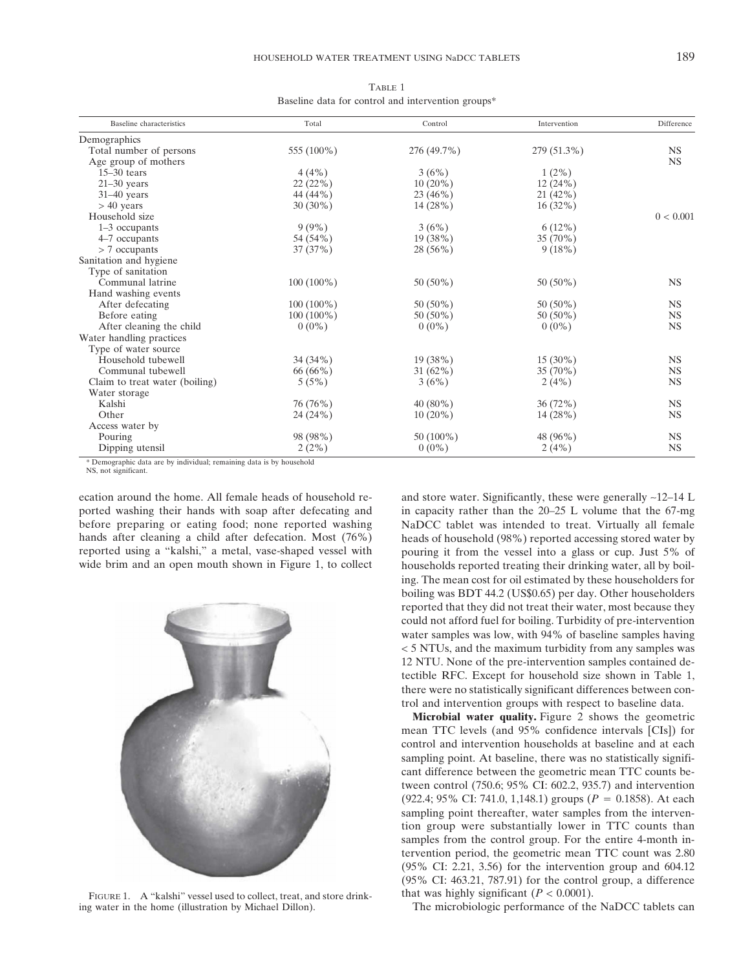| Baseline data for control and intervention groups* |              |             |              |            |  |
|----------------------------------------------------|--------------|-------------|--------------|------------|--|
| Baseline characteristics                           | Total        | Control     | Intervention | Difference |  |
| Demographics                                       |              |             |              |            |  |
| Total number of persons                            | 555 (100%)   | 276 (49.7%) | 279 (51.3%)  | <b>NS</b>  |  |
| Age group of mothers                               |              |             |              | <b>NS</b>  |  |
| $15-30$ tears                                      | $4(4\%)$     | 3(6%)       | $1(2\%)$     |            |  |
| $21-30$ years                                      | 22(22%)      | $10(20\%)$  | 12(24%)      |            |  |
| $31-40$ years                                      | 44 (44%)     | $23(46\%)$  | $21(42\%)$   |            |  |
| $> 40$ years                                       | $30(30\%)$   | 14(28%)     | $16(32\%)$   |            |  |
| Household size                                     |              |             |              | 0 < 0.001  |  |
| 1–3 occupants                                      | $9(9\%)$     | 3(6%)       | $6(12\%)$    |            |  |
| 4–7 occupants                                      | 54 (54%)     | 19 (38%)    | $35(70\%)$   |            |  |
| $> 7$ occupants                                    | 37(37%)      | $28(56\%)$  | 9(18%)       |            |  |
| Sanitation and hygiene                             |              |             |              |            |  |
| Type of sanitation                                 |              |             |              |            |  |
| Communal latrine                                   | $100(100\%)$ | $50(50\%)$  | $50(50\%)$   | <b>NS</b>  |  |
| Hand washing events                                |              |             |              |            |  |
| After defecating                                   | $100(100\%)$ | $50(50\%)$  | $50(50\%)$   | <b>NS</b>  |  |
| Before eating                                      | $100(100\%)$ | $50(50\%)$  | $50(50\%)$   | <b>NS</b>  |  |

Before eating  $100 (100\%)$  50 (50%) 50 (50%) NS After cleaning the child  $0 (0\%)$   $0 (0\%)$  NS

Household tubewell <br>
Communal tubewell <br>  $34 (34\%)$  19 (38%) 15 (30%) 15 (30%) NS<br>  $31 (62\%)$  35 (70%) NS Communal tubewell  $66 (66%)$   $31 (62%)$   $35 (70%)$  NS<br>
laim to treat water (boiling)  $5 (5%)$   $3 (6%)$   $2 (4%)$  NS

Kalshi 76 (76%) 40 (80%) 36 (72%) NS Other 24 (24%) 10 (20%) 14 (28%) NS

Pouring 98 (98%) 50 (100%) 48 (96%) NS Dipping utensil  $2(2\%)$   $0(0\%)$   $2(4\%)$  NS

TABLE 1

\* Demographic data are by individual; remaining data is by household

Water storage<br>Kalshi

Access water by

Water handling practices Type of water source

Claim to treat water (boiling)

ecation around the home. All female heads of household reported washing their hands with soap after defecating and before preparing or eating food; none reported washing hands after cleaning a child after defecation. Most (76%) reported using a "kalshi," a metal, vase-shaped vessel with wide brim and an open mouth shown in Figure 1, to collect

FIGURE 1. A "kalshi" vessel used to collect, treat, and store drinking water in the home (illustration by Michael Dillon).

and store water. Significantly, these were generally ∼12–14 L in capacity rather than the 20–25 L volume that the 67-mg NaDCC tablet was intended to treat. Virtually all female heads of household (98%) reported accessing stored water by pouring it from the vessel into a glass or cup. Just 5% of households reported treating their drinking water, all by boiling. The mean cost for oil estimated by these householders for boiling was BDT 44.2 (US\$0.65) per day. Other householders reported that they did not treat their water, most because they could not afford fuel for boiling. Turbidity of pre-intervention water samples was low, with 94% of baseline samples having < 5 NTUs, and the maximum turbidity from any samples was 12 NTU. None of the pre-intervention samples contained detectible RFC. Except for household size shown in Table 1, there were no statistically significant differences between control and intervention groups with respect to baseline data.

**Microbial water quality.** Figure 2 shows the geometric mean TTC levels (and 95% confidence intervals [CIs]) for control and intervention households at baseline and at each sampling point. At baseline, there was no statistically significant difference between the geometric mean TTC counts between control (750.6; 95% CI: 602.2, 935.7) and intervention (922.4; 95% CI: 741.0, 1,148.1) groups ( $P = 0.1858$ ). At each sampling point thereafter, water samples from the intervention group were substantially lower in TTC counts than samples from the control group. For the entire 4-month intervention period, the geometric mean TTC count was 2.80 (95% CI: 2.21, 3.56) for the intervention group and 604.12 (95% CI: 463.21, 787.91) for the control group, a difference that was highly significant  $(P < 0.0001)$ .

The microbiologic performance of the NaDCC tablets can

NS, not significant.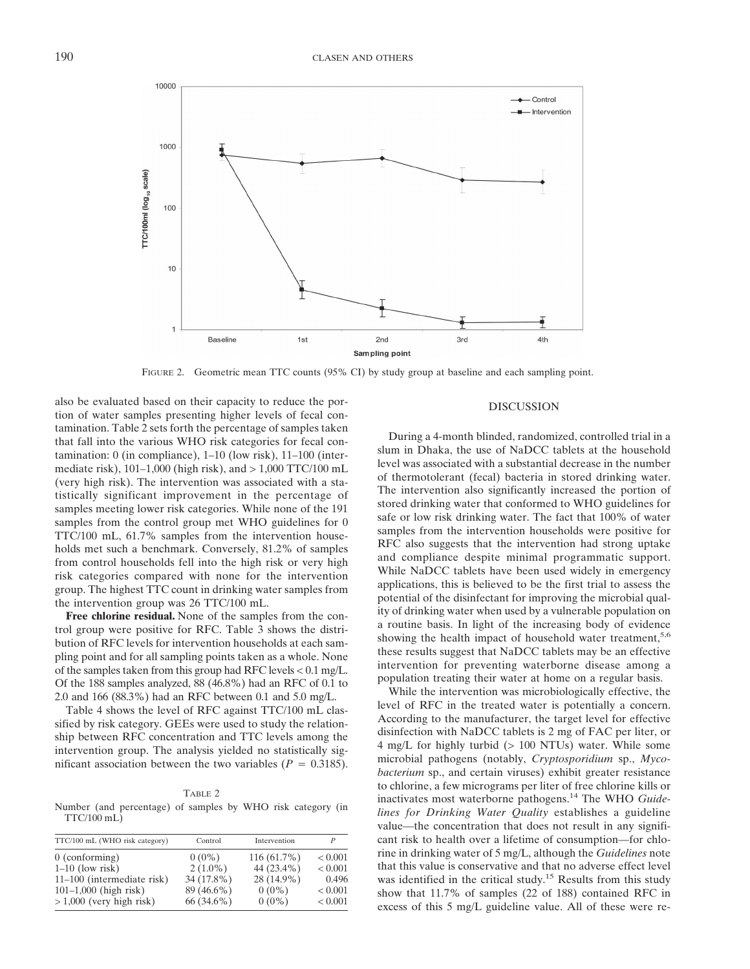

FIGURE 2. Geometric mean TTC counts (95% CI) by study group at baseline and each sampling point.

also be evaluated based on their capacity to reduce the portion of water samples presenting higher levels of fecal contamination. Table 2 sets forth the percentage of samples taken that fall into the various WHO risk categories for fecal contamination: 0 (in compliance), 1–10 (low risk), 11–100 (intermediate risk),  $101-1,000$  (high risk), and  $> 1,000$  TTC/100 mL (very high risk). The intervention was associated with a statistically significant improvement in the percentage of samples meeting lower risk categories. While none of the 191 samples from the control group met WHO guidelines for 0 TTC/100 mL, 61.7% samples from the intervention households met such a benchmark. Conversely, 81.2% of samples from control households fell into the high risk or very high risk categories compared with none for the intervention group. The highest TTC count in drinking water samples from the intervention group was 26 TTC/100 mL.

**Free chlorine residual.** None of the samples from the control group were positive for RFC. Table 3 shows the distribution of RFC levels for intervention households at each sampling point and for all sampling points taken as a whole. None of the samples taken from this group had RFC levels < 0.1 mg/L. Of the 188 samples analyzed, 88 (46.8%) had an RFC of 0.1 to 2.0 and 166 (88.3%) had an RFC between 0.1 and 5.0 mg/L.

Table 4 shows the level of RFC against TTC/100 mL classified by risk category. GEEs were used to study the relationship between RFC concentration and TTC levels among the intervention group. The analysis yielded no statistically significant association between the two variables ( $P = 0.3185$ ).

#### TABLE 2

Number (and percentage) of samples by WHO risk category (in  $TTC/100$  mL $)$ 

| TTC/100 mL (WHO risk category) | Control    | Intervention  |                |
|--------------------------------|------------|---------------|----------------|
| $0$ (conforming)               | $0(0\%)$   | $116(61.7\%)$ | ${}_{< 0.001}$ |
| $1-10$ (low risk)              | $2(1.0\%)$ | 44 (23.4%)    | ${}_{< 0.001}$ |
| 11-100 (intermediate risk)     | 34 (17.8%) | 28 (14.9%)    | 0.496          |
| $101-1,000$ (high risk)        | 89 (46.6%) | $0(0\%)$      | ${}_{< 0.001}$ |
| $>1,000$ (very high risk)      | 66 (34.6%) | $0(0\%)$      | ${}_{< 0.001}$ |

#### DISCUSSION

During a 4-month blinded, randomized, controlled trial in a slum in Dhaka, the use of NaDCC tablets at the household level was associated with a substantial decrease in the number of thermotolerant (fecal) bacteria in stored drinking water. The intervention also significantly increased the portion of stored drinking water that conformed to WHO guidelines for safe or low risk drinking water. The fact that 100% of water samples from the intervention households were positive for RFC also suggests that the intervention had strong uptake and compliance despite minimal programmatic support. While NaDCC tablets have been used widely in emergency applications, this is believed to be the first trial to assess the potential of the disinfectant for improving the microbial quality of drinking water when used by a vulnerable population on a routine basis. In light of the increasing body of evidence showing the health impact of household water treatment,<sup>5,6</sup> these results suggest that NaDCC tablets may be an effective intervention for preventing waterborne disease among a population treating their water at home on a regular basis.

While the intervention was microbiologically effective, the level of RFC in the treated water is potentially a concern. According to the manufacturer, the target level for effective disinfection with NaDCC tablets is 2 mg of FAC per liter, or 4 mg/L for highly turbid (> 100 NTUs) water. While some microbial pathogens (notably, *Cryptosporidium* sp., *Mycobacterium* sp., and certain viruses) exhibit greater resistance to chlorine, a few micrograms per liter of free chlorine kills or inactivates most waterborne pathogens.14 The WHO *Guidelines for Drinking Water Quality* establishes a guideline value—the concentration that does not result in any significant risk to health over a lifetime of consumption—for chlorine in drinking water of 5 mg/L, although the *Guidelines* note that this value is conservative and that no adverse effect level was identified in the critical study.<sup>15</sup> Results from this study show that 11.7% of samples (22 of 188) contained RFC in excess of this 5 mg/L guideline value. All of these were re-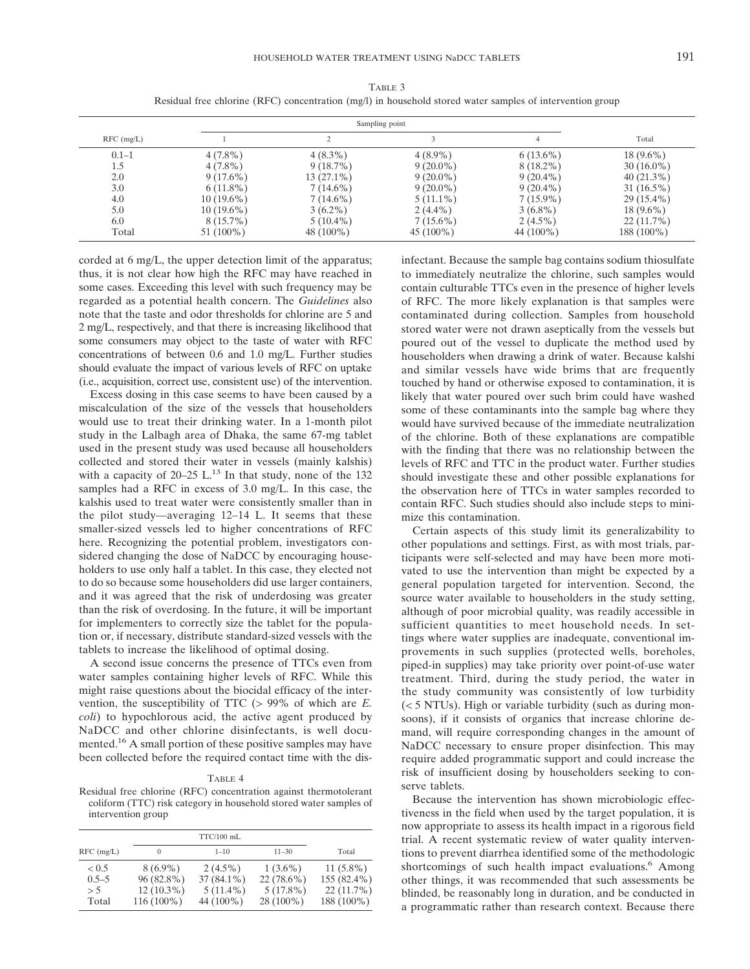|              |              | Sampling point |             |              |              |
|--------------|--------------|----------------|-------------|--------------|--------------|
| $RFC$ (mg/L) |              |                |             |              | Total        |
| $0.1 - 1$    | $4(7.8\%)$   | $4(8.3\%)$     | $4(8.9\%)$  | $6(13.6\%)$  | $18(9.6\%)$  |
| 1.5          | $4(7.8\%)$   | $9(18.7\%)$    | $9(20.0\%)$ | $8(18.2\%)$  | $30(16.0\%)$ |
| 2.0          | $9(17.6\%)$  | 13 (27.1%)     | $9(20.0\%)$ | $9(20.4\%)$  | $40(21.3\%)$ |
| 3.0          | $6(11.8\%)$  | $7(14.6\%)$    | $9(20.0\%)$ | $9(20.4\%)$  | $31(16.5\%)$ |
| 4.0          | $10(19.6\%)$ | $7(14.6\%)$    | $5(11.1\%)$ | $7(15.9\%)$  | $29(15.4\%)$ |
| 5.0          | $10(19.6\%)$ | $3(6.2\%)$     | $2(4.4\%)$  | $3(6.8\%)$   | $18(9.6\%)$  |
| 6.0          | $8(15.7\%)$  | $5(10.4\%)$    | $7(15.6\%)$ | $2(4.5\%)$   | $22(11.7\%)$ |
| Total        | $51(100\%)$  | 48 $(100\%)$   | $45(100\%)$ | 44 $(100\%)$ | 188 (100%)   |

TABLE 3 Residual free chlorine (RFC) concentration (mg/l) in household stored water samples of intervention group

corded at 6 mg/L, the upper detection limit of the apparatus; thus, it is not clear how high the RFC may have reached in some cases. Exceeding this level with such frequency may be regarded as a potential health concern. The *Guidelines* also note that the taste and odor thresholds for chlorine are 5 and 2 mg/L, respectively, and that there is increasing likelihood that some consumers may object to the taste of water with RFC concentrations of between 0.6 and 1.0 mg/L. Further studies should evaluate the impact of various levels of RFC on uptake (i.e., acquisition, correct use, consistent use) of the intervention.

Excess dosing in this case seems to have been caused by a miscalculation of the size of the vessels that householders would use to treat their drinking water. In a 1-month pilot study in the Lalbagh area of Dhaka, the same 67-mg tablet used in the present study was used because all householders collected and stored their water in vessels (mainly kalshis) with a capacity of  $20-25$  L.<sup>13</sup> In that study, none of the  $132$ samples had a RFC in excess of 3.0 mg/L. In this case, the kalshis used to treat water were consistently smaller than in the pilot study—averaging 12–14 L. It seems that these smaller-sized vessels led to higher concentrations of RFC here. Recognizing the potential problem, investigators considered changing the dose of NaDCC by encouraging householders to use only half a tablet. In this case, they elected not to do so because some householders did use larger containers, and it was agreed that the risk of underdosing was greater than the risk of overdosing. In the future, it will be important for implementers to correctly size the tablet for the population or, if necessary, distribute standard-sized vessels with the tablets to increase the likelihood of optimal dosing.

A second issue concerns the presence of TTCs even from water samples containing higher levels of RFC. While this might raise questions about the biocidal efficacy of the intervention, the susceptibility of TTC (> 99% of which are *E. coli*) to hypochlorous acid, the active agent produced by NaDCC and other chlorine disinfectants, is well documented.<sup>16</sup> A small portion of these positive samples may have been collected before the required contact time with the dis-

Residual free chlorine (RFC) concentration against thermotolerant coliform (TTC) risk category in household stored water samples of intervention group

|                                    |                                                          | $TTC/100$ mL                                           |                                                          |                                                          |
|------------------------------------|----------------------------------------------------------|--------------------------------------------------------|----------------------------------------------------------|----------------------------------------------------------|
| $RFC$ (mg/L)                       | $\Omega$                                                 | $1 - 10$                                               | $11 - 30$                                                | Total                                                    |
| < 0.5<br>$0.5 - 5$<br>> 5<br>Total | $8(6.9\%)$<br>96 (82.8%)<br>$12(10.3\%)$<br>$116(100\%)$ | $2(4.5\%)$<br>$37(84.1\%)$<br>$5(11.4\%)$<br>44 (100%) | $1(3.6\%)$<br>$22(78.6\%)$<br>$5(17.8\%)$<br>$28(100\%)$ | $11(5.8\%)$<br>155 (82.4%)<br>$22(11.7\%)$<br>188 (100%) |

infectant. Because the sample bag contains sodium thiosulfate to immediately neutralize the chlorine, such samples would contain culturable TTCs even in the presence of higher levels of RFC. The more likely explanation is that samples were contaminated during collection. Samples from household stored water were not drawn aseptically from the vessels but poured out of the vessel to duplicate the method used by householders when drawing a drink of water. Because kalshi and similar vessels have wide brims that are frequently touched by hand or otherwise exposed to contamination, it is likely that water poured over such brim could have washed some of these contaminants into the sample bag where they would have survived because of the immediate neutralization of the chlorine. Both of these explanations are compatible with the finding that there was no relationship between the levels of RFC and TTC in the product water. Further studies should investigate these and other possible explanations for the observation here of TTCs in water samples recorded to contain RFC. Such studies should also include steps to minimize this contamination.

Certain aspects of this study limit its generalizability to other populations and settings. First, as with most trials, participants were self-selected and may have been more motivated to use the intervention than might be expected by a general population targeted for intervention. Second, the source water available to householders in the study setting, although of poor microbial quality, was readily accessible in sufficient quantities to meet household needs. In settings where water supplies are inadequate, conventional improvements in such supplies (protected wells, boreholes, piped-in supplies) may take priority over point-of-use water treatment. Third, during the study period, the water in the study community was consistently of low turbidity (< 5 NTUs). High or variable turbidity (such as during monsoons), if it consists of organics that increase chlorine demand, will require corresponding changes in the amount of NaDCC necessary to ensure proper disinfection. This may require added programmatic support and could increase the risk of insufficient dosing by householders seeking to conserve tablets.

Because the intervention has shown microbiologic effectiveness in the field when used by the target population, it is now appropriate to assess its health impact in a rigorous field trial. A recent systematic review of water quality interventions to prevent diarrhea identified some of the methodologic shortcomings of such health impact evaluations.<sup>6</sup> Among other things, it was recommended that such assessments be blinded, be reasonably long in duration, and be conducted in a programmatic rather than research context. Because there